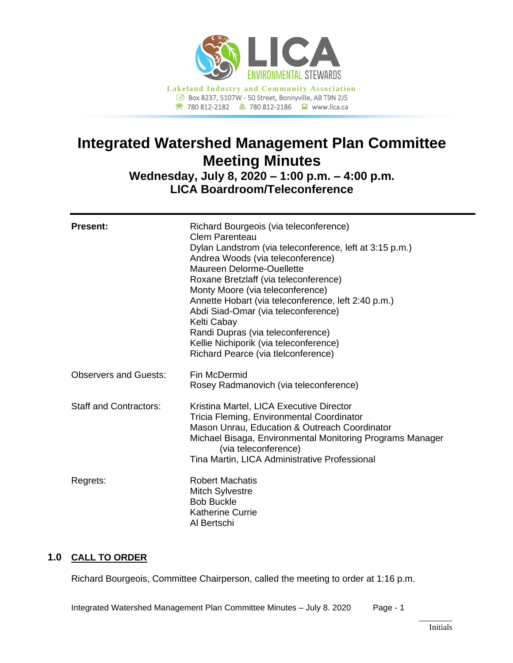

# **Integrated Watershed Management Plan Committee Meeting Minutes**

**Wednesday, July 8, 2020 – 1:00 p.m. – 4:00 p.m. LICA Boardroom/Teleconference**

| <b>Present:</b>               | Richard Bourgeois (via teleconference)<br>Clem Parenteau<br>Dylan Landstrom (via teleconference, left at 3:15 p.m.)<br>Andrea Woods (via teleconference)<br>Maureen Delorme-Ouellette<br>Roxane Bretzlaff (via teleconference)<br>Monty Moore (via teleconference)<br>Annette Hobart (via teleconference, left 2:40 p.m.)<br>Abdi Siad-Omar (via teleconference)<br>Kelti Cabay<br>Randi Dupras (via teleconference)<br>Kellie Nichiporik (via teleconference)<br>Richard Pearce (via tlelconference) |
|-------------------------------|-------------------------------------------------------------------------------------------------------------------------------------------------------------------------------------------------------------------------------------------------------------------------------------------------------------------------------------------------------------------------------------------------------------------------------------------------------------------------------------------------------|
| <b>Observers and Guests:</b>  | Fin McDermid<br>Rosey Radmanovich (via teleconference)                                                                                                                                                                                                                                                                                                                                                                                                                                                |
| <b>Staff and Contractors:</b> | Kristina Martel, LICA Executive Director<br>Tricia Fleming, Environmental Coordinator<br>Mason Unrau, Education & Outreach Coordinator<br>Michael Bisaga, Environmental Monitoring Programs Manager<br>(via teleconference)<br>Tina Martin, LICA Administrative Professional                                                                                                                                                                                                                          |
| Regrets:                      | <b>Robert Machatis</b><br><b>Mitch Sylvestre</b><br><b>Bob Buckle</b><br><b>Katherine Currie</b><br>Al Bertschi                                                                                                                                                                                                                                                                                                                                                                                       |

## **1.0 CALL TO ORDER**

Richard Bourgeois, Committee Chairperson, called the meeting to order at 1:16 p.m.

Integrated Watershed Management Plan Committee Minutes – July 8. 2020 Page - 1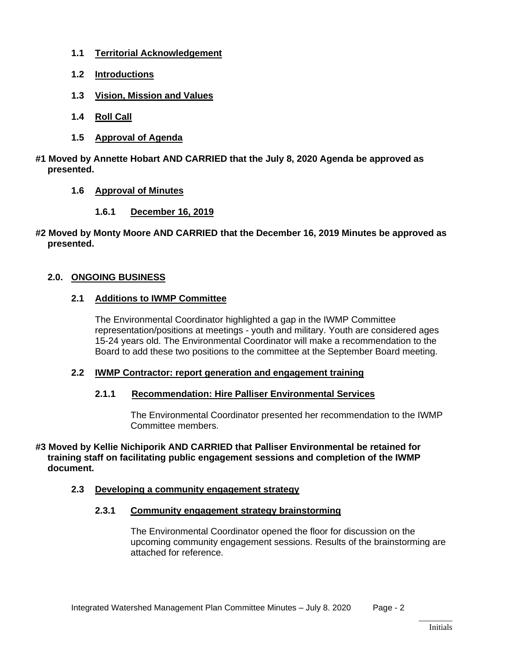- **1.1 Territorial Acknowledgement**
- **1.2 Introductions**
- **1.3 Vision, Mission and Values**
- **1.4 Roll Call**
- **1.5 Approval of Agenda**
- **#1 Moved by Annette Hobart AND CARRIED that the July 8, 2020 Agenda be approved as presented.**
	- **1.6 Approval of Minutes**
		- **1.6.1 December 16, 2019**
- **#2 Moved by Monty Moore AND CARRIED that the December 16, 2019 Minutes be approved as presented.**

#### **2.0. ONGOING BUSINESS**

#### **2.1 Additions to IWMP Committee**

The Environmental Coordinator highlighted a gap in the IWMP Committee representation/positions at meetings - youth and military. Youth are considered ages 15-24 years old. The Environmental Coordinator will make a recommendation to the Board to add these two positions to the committee at the September Board meeting.

#### **2.2 IWMP Contractor: report generation and engagement training**

#### **2.1.1 Recommendation: Hire Palliser Environmental Services**

The Environmental Coordinator presented her recommendation to the IWMP Committee members.

#### **#3 Moved by Kellie Nichiporik AND CARRIED that Palliser Environmental be retained for training staff on facilitating public engagement sessions and completion of the IWMP document.**

#### **2.3 Developing a community engagement strategy**

#### **2.3.1 Community engagement strategy brainstorming**

The Environmental Coordinator opened the floor for discussion on the upcoming community engagement sessions. Results of the brainstorming are attached for reference.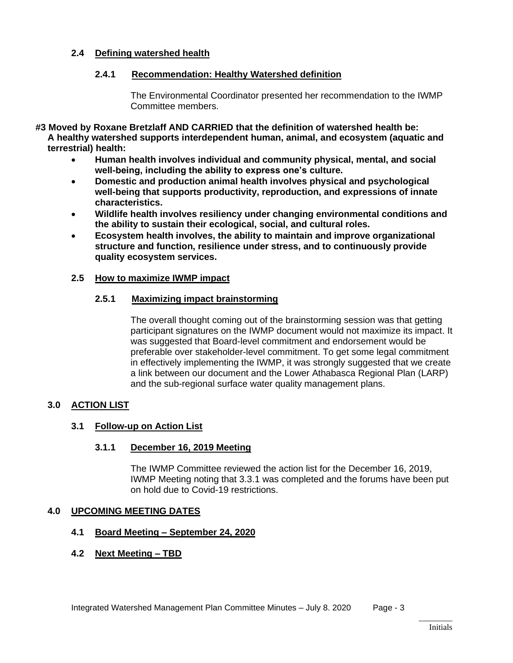#### **2.4 Defining watershed health**

#### **2.4.1 Recommendation: Healthy Watershed definition**

The Environmental Coordinator presented her recommendation to the IWMP Committee members.

**#3 Moved by Roxane Bretzlaff AND CARRIED that the definition of watershed health be: A healthy watershed supports interdependent human, animal, and ecosystem (aquatic and terrestrial) health:**

- **Human health involves individual and community physical, mental, and social well-being, including the ability to express one's culture.**
- **Domestic and production animal health involves physical and psychological well-being that supports productivity, reproduction, and expressions of innate characteristics.**
- **Wildlife health involves resiliency under changing environmental conditions and the ability to sustain their ecological, social, and cultural roles.**
- **Ecosystem health involves, the ability to maintain and improve organizational structure and function, resilience under stress, and to continuously provide quality ecosystem services.**

#### **2.5 How to maximize IWMP impact**

#### **2.5.1 Maximizing impact brainstorming**

The overall thought coming out of the brainstorming session was that getting participant signatures on the IWMP document would not maximize its impact. It was suggested that Board-level commitment and endorsement would be preferable over stakeholder-level commitment. To get some legal commitment in effectively implementing the IWMP, it was strongly suggested that we create a link between our document and the Lower Athabasca Regional Plan (LARP) and the sub-regional surface water quality management plans.

## **3.0 ACTION LIST**

#### **3.1 Follow-up on Action List**

#### **3.1.1 December 16, 2019 Meeting**

The IWMP Committee reviewed the action list for the December 16, 2019, IWMP Meeting noting that 3.3.1 was completed and the forums have been put on hold due to Covid-19 restrictions.

#### **4.0 UPCOMING MEETING DATES**

#### **4.1 Board Meeting – September 24, 2020**

#### **4.2 Next Meeting – TBD**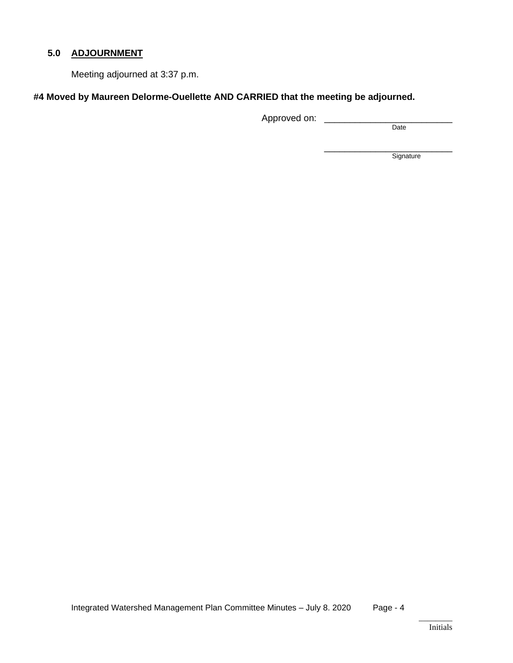## **5.0 ADJOURNMENT**

Meeting adjourned at 3:37 p.m.

#### **#4 Moved by Maureen Delorme-Ouellette AND CARRIED that the meeting be adjourned.**

Approved on: \_\_\_\_\_\_\_\_\_\_\_\_\_\_\_\_\_\_\_\_\_\_\_\_\_

Date

\_\_\_\_\_\_\_\_\_\_\_\_\_\_\_\_\_\_\_\_\_\_\_\_\_ **Signature**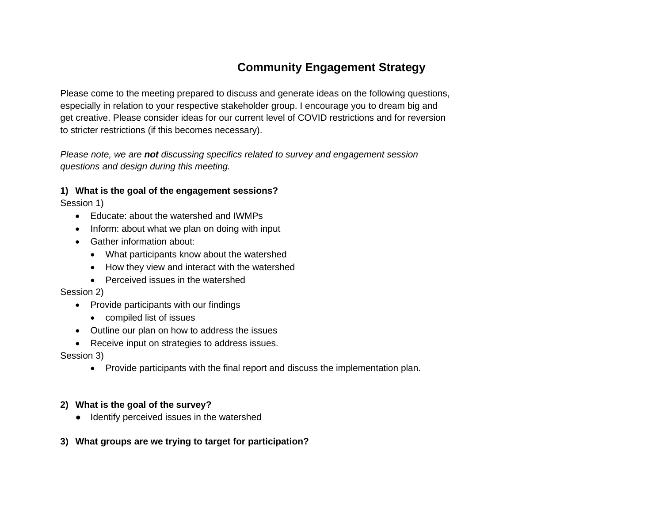## **Community Engagement Strategy**

Please come to the meeting prepared to discuss and generate ideas on the following questions, especially in relation to your respective stakeholder group. I encourage you to dream big and get creative. Please consider ideas for our current level of COVID restrictions and for reversion to stricter restrictions (if this becomes necessary).

*Please note, we are not discussing specifics related to survey and engagement session questions and design during this meeting.*

## **1) What is the goal of the engagement sessions?**

Session 1)

- Educate: about the watershed and IWMPs
- Inform: about what we plan on doing with input
- Gather information about:
	- What participants know about the watershed
	- How they view and interact with the watershed
	- Perceived issues in the watershed

## Session 2)

- Provide participants with our findings
	- compiled list of issues
- Outline our plan on how to address the issues
- Receive input on strategies to address issues.

## Session 3)

• Provide participants with the final report and discuss the implementation plan.

## **2) What is the goal of the survey?**

● Identify perceived issues in the watershed

## **3) What groups are we trying to target for participation?**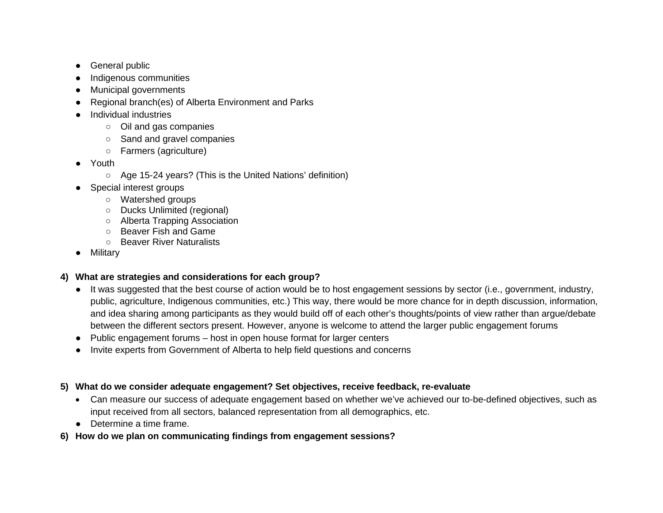- General public
- Indigenous communities
- Municipal governments
- Regional branch(es) of Alberta Environment and Parks
- **Individual industries** 
	- Oil and gas companies
	- Sand and gravel companies
	- Farmers (agriculture)
- Youth
	- Age 15-24 years? (This is the United Nations' definition)
- Special interest groups
	- Watershed groups
	- Ducks Unlimited (regional)
	- Alberta Trapping Association
	- Beaver Fish and Game
	- Beaver River Naturalists
- Military

## **4) What are strategies and considerations for each group?**

- It was suggested that the best course of action would be to host engagement sessions by sector (i.e., government, industry, public, agriculture, Indigenous communities, etc.) This way, there would be more chance for in depth discussion, information, and idea sharing among participants as they would build off of each other's thoughts/points of view rather than argue/debate between the different sectors present. However, anyone is welcome to attend the larger public engagement forums
- Public engagement forums host in open house format for larger centers
- Invite experts from Government of Alberta to help field questions and concerns

## **5) What do we consider adequate engagement? Set objectives, receive feedback, re-evaluate**

- Can measure our success of adequate engagement based on whether we've achieved our to-be-defined objectives, such as input received from all sectors, balanced representation from all demographics, etc.
- Determine a time frame.
- **6) How do we plan on communicating findings from engagement sessions?**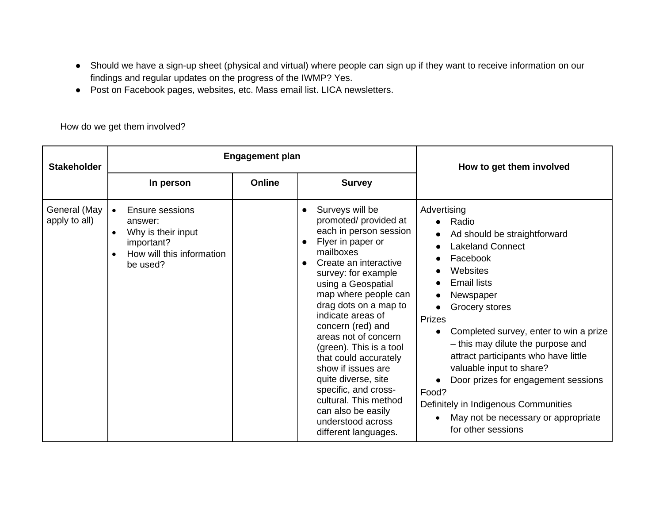- Should we have a sign-up sheet (physical and virtual) where people can sign up if they want to receive information on our findings and regular updates on the progress of the IWMP? Yes.
- Post on Facebook pages, websites, etc. Mass email list. LICA newsletters.

How do we get them involved?

| <b>Stakeholder</b>            |                                                                                                                                   | <b>Engagement plan</b> | How to get them involved                                                                                                                                                                                                                                                                                                                                                                                                                                                                                                                                  |                                                                                                                                                                                                                                                                                                                                                                                                                                                                                  |
|-------------------------------|-----------------------------------------------------------------------------------------------------------------------------------|------------------------|-----------------------------------------------------------------------------------------------------------------------------------------------------------------------------------------------------------------------------------------------------------------------------------------------------------------------------------------------------------------------------------------------------------------------------------------------------------------------------------------------------------------------------------------------------------|----------------------------------------------------------------------------------------------------------------------------------------------------------------------------------------------------------------------------------------------------------------------------------------------------------------------------------------------------------------------------------------------------------------------------------------------------------------------------------|
|                               | In person                                                                                                                         | Online                 | <b>Survey</b>                                                                                                                                                                                                                                                                                                                                                                                                                                                                                                                                             |                                                                                                                                                                                                                                                                                                                                                                                                                                                                                  |
| General (May<br>apply to all) | Ensure sessions<br>$\bullet$<br>answer:<br>Why is their input<br>$\bullet$<br>important?<br>How will this information<br>be used? |                        | Surveys will be<br>$\bullet$<br>promoted/ provided at<br>each in person session<br>Flyer in paper or<br>$\bullet$<br>mailboxes<br>Create an interactive<br>$\bullet$<br>survey: for example<br>using a Geospatial<br>map where people can<br>drag dots on a map to<br>indicate areas of<br>concern (red) and<br>areas not of concern<br>(green). This is a tool<br>that could accurately<br>show if issues are<br>quite diverse, site<br>specific, and cross-<br>cultural. This method<br>can also be easily<br>understood across<br>different languages. | Advertising<br>• Radio<br>Ad should be straightforward<br><b>Lakeland Connect</b><br>Facebook<br>Websites<br><b>Email lists</b><br>Newspaper<br>Grocery stores<br>Prizes<br>Completed survey, enter to win a prize<br>- this may dilute the purpose and<br>attract participants who have little<br>valuable input to share?<br>Door prizes for engagement sessions<br>Food?<br>Definitely in Indigenous Communities<br>May not be necessary or appropriate<br>for other sessions |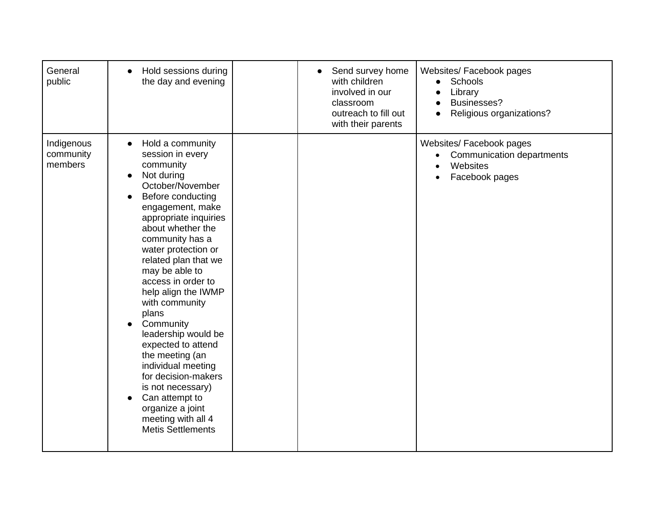| General<br>public                  | Hold sessions during<br>$\bullet$<br>the day and evening                                                                                                                                                                                                                                                                                                                                                                                                                                                                                                                                                                          | Send survey home<br>$\bullet$<br>with children<br>involved in our<br>classroom<br>outreach to fill out<br>with their parents | Websites/ Facebook pages<br>Schools<br>Library<br>Businesses?<br>Religious organizations? |
|------------------------------------|-----------------------------------------------------------------------------------------------------------------------------------------------------------------------------------------------------------------------------------------------------------------------------------------------------------------------------------------------------------------------------------------------------------------------------------------------------------------------------------------------------------------------------------------------------------------------------------------------------------------------------------|------------------------------------------------------------------------------------------------------------------------------|-------------------------------------------------------------------------------------------|
| Indigenous<br>community<br>members | Hold a community<br>$\bullet$<br>session in every<br>community<br>Not during<br>$\bullet$<br>October/November<br>Before conducting<br>$\bullet$<br>engagement, make<br>appropriate inquiries<br>about whether the<br>community has a<br>water protection or<br>related plan that we<br>may be able to<br>access in order to<br>help align the IWMP<br>with community<br>plans<br>Community<br>leadership would be<br>expected to attend<br>the meeting (an<br>individual meeting<br>for decision-makers<br>is not necessary)<br>Can attempt to<br>$\bullet$<br>organize a joint<br>meeting with all 4<br><b>Metis Settlements</b> |                                                                                                                              | Websites/ Facebook pages<br>Communication departments<br>Websites<br>Facebook pages       |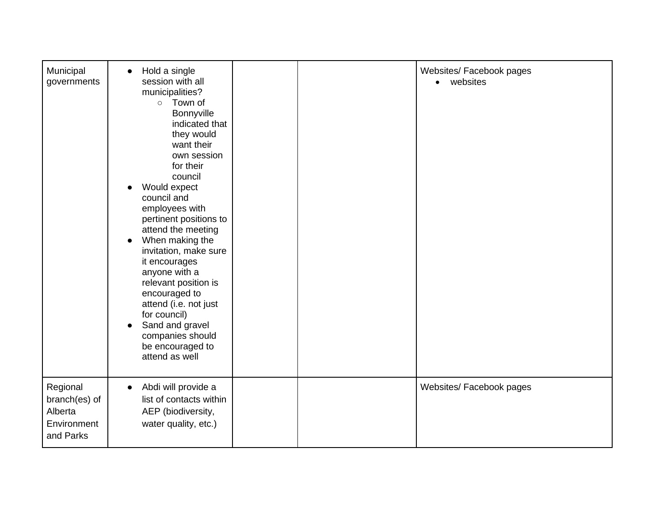| Municipal<br>governments                                         | Hold a single<br>$\bullet$<br>session with all<br>municipalities?<br>o Town of<br>Bonnyville<br>indicated that<br>they would<br>want their<br>own session<br>for their<br>council<br>Would expect<br>$\bullet$<br>council and<br>employees with<br>pertinent positions to<br>attend the meeting<br>When making the<br>$\bullet$<br>invitation, make sure<br>it encourages<br>anyone with a<br>relevant position is<br>encouraged to<br>attend (i.e. not just<br>for council)<br>Sand and gravel<br>companies should<br>be encouraged to<br>attend as well |  | Websites/ Facebook pages<br>websites<br>$\bullet$ |
|------------------------------------------------------------------|-----------------------------------------------------------------------------------------------------------------------------------------------------------------------------------------------------------------------------------------------------------------------------------------------------------------------------------------------------------------------------------------------------------------------------------------------------------------------------------------------------------------------------------------------------------|--|---------------------------------------------------|
| Regional<br>branch(es) of<br>Alberta<br>Environment<br>and Parks | Abdi will provide a<br>$\bullet$<br>list of contacts within<br>AEP (biodiversity,<br>water quality, etc.)                                                                                                                                                                                                                                                                                                                                                                                                                                                 |  | Websites/ Facebook pages                          |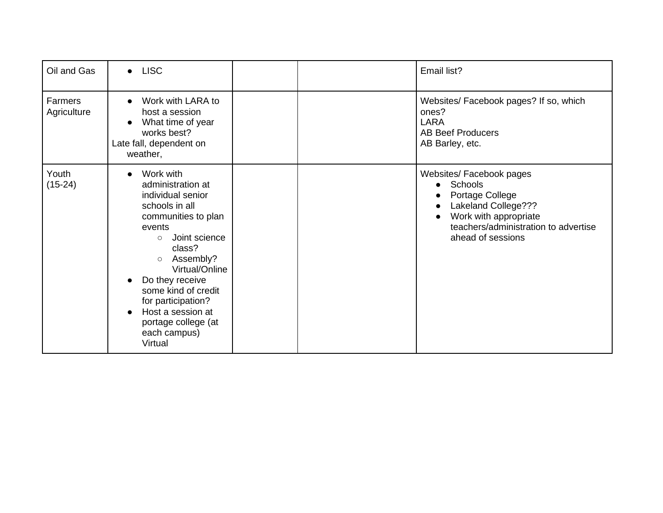| Oil and Gas                   | $\bullet$ LISC                                                                                                                                                                                                                                                                                                                                                       |  | Email list?                                                                                                                                                         |
|-------------------------------|----------------------------------------------------------------------------------------------------------------------------------------------------------------------------------------------------------------------------------------------------------------------------------------------------------------------------------------------------------------------|--|---------------------------------------------------------------------------------------------------------------------------------------------------------------------|
| <b>Farmers</b><br>Agriculture | Work with LARA to<br>$\bullet$<br>host a session<br>What time of year<br>$\bullet$<br>works best?<br>Late fall, dependent on<br>weather,                                                                                                                                                                                                                             |  | Websites/ Facebook pages? If so, which<br>ones?<br><b>LARA</b><br><b>AB Beef Producers</b><br>AB Barley, etc.                                                       |
| Youth<br>$(15-24)$            | Work with<br>$\bullet$<br>administration at<br>individual senior<br>schools in all<br>communities to plan<br>events<br>Joint science<br>$\circ$<br>class?<br>Assembly?<br>$\circ$<br>Virtual/Online<br>Do they receive<br>$\bullet$<br>some kind of credit<br>for participation?<br>Host a session at<br>$\bullet$<br>portage college (at<br>each campus)<br>Virtual |  | Websites/ Facebook pages<br>Schools<br>Portage College<br>Lakeland College???<br>Work with appropriate<br>teachers/administration to advertise<br>ahead of sessions |